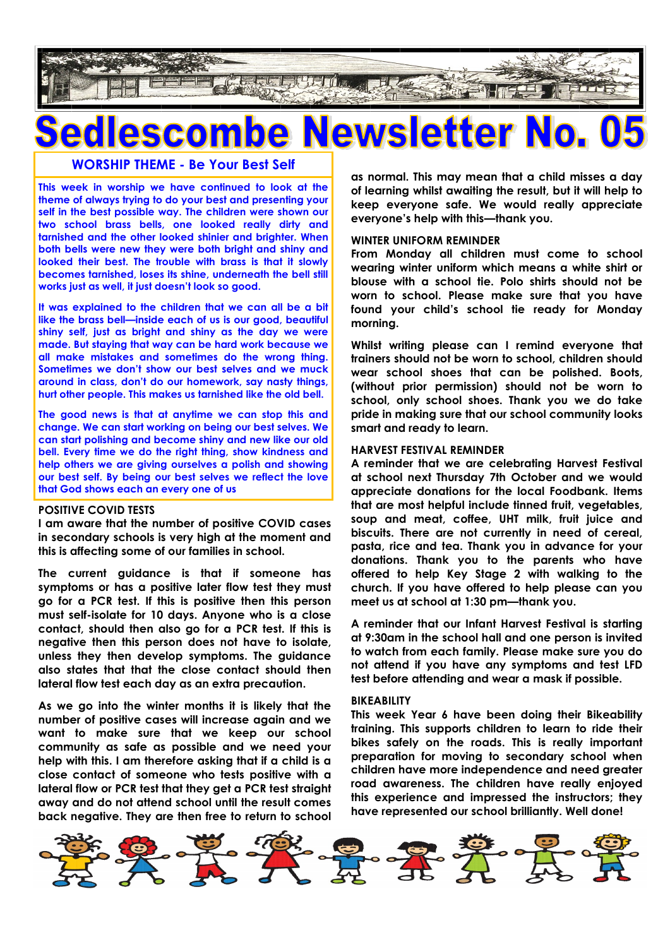

## **Newsletter N** escombe

**WORSHIP THEME - Be Your Best Self**

**This week in worship we have continued to look at the theme of always trying to do your best and presenting your self in the best possible way. The children were shown our two school brass bells, one looked really dirty and tarnished and the other looked shinier and brighter. When both bells were new they were both bright and shiny and looked their best. The trouble with brass is that it slowly becomes tarnished, loses its shine, underneath the bell still works just as well, it just doesn't look so good.**

**It was explained to the children that we can all be a bit like the brass bell—inside each of us is our good, beautiful shiny self, just as bright and shiny as the day we were made. But staying that way can be hard work because we all make mistakes and sometimes do the wrong thing. Sometimes we don't show our best selves and we muck around in class, don't do our homework, say nasty things, hurt other people. This makes us tarnished like the old bell.**

**The good news is that at anytime we can stop this and change. We can start working on being our best selves. We can start polishing and become shiny and new like our old bell. Every time we do the right thing, show kindness and help others we are giving ourselves a polish and showing our best self. By being our best selves we reflect the love that God shows each an every one of us**

#### **POSITIVE COVID TESTS**

**I am aware that the number of positive COVID cases in secondary schools is very high at the moment and this is affecting some of our families in school.**

**The current guidance is that if someone has symptoms or has a positive later flow test they must go for a PCR test. If this is positive then this person must self-isolate for 10 days. Anyone who is a close contact, should then also go for a PCR test. If this is negative then this person does not have to isolate, unless they then develop symptoms. The guidance also states that that the close contact should then lateral flow test each day as an extra precaution.**

**As we go into the winter months it is likely that the number of positive cases will increase again and we want to make sure that we keep our school community as safe as possible and we need your help with this. I am therefore asking that if a child is a close contact of someone who tests positive with a lateral flow or PCR test that they get a PCR test straight away and do not attend school until the result comes back negative. They are then free to return to school**  **as normal. This may mean that a child misses a day of learning whilst awaiting the result, but it will help to keep everyone safe. We would really appreciate everyone's help with this—thank you.**

#### **WINTER UNIFORM REMINDER**

**From Monday all children must come to school wearing winter uniform which means a white shirt or blouse with a school tie. Polo shirts should not be worn to school. Please make sure that you have found your child's school tie ready for Monday morning.**

**Whilst writing please can I remind everyone that trainers should not be worn to school, children should wear school shoes that can be polished. Boots, (without prior permission) should not be worn to school, only school shoes. Thank you we do take pride in making sure that our school community looks smart and ready to learn.**

#### **HARVEST FESTIVAL REMINDER**

**A reminder that we are celebrating Harvest Festival at school next Thursday 7th October and we would appreciate donations for the local Foodbank. Items that are most helpful include tinned fruit, vegetables, soup and meat, coffee, UHT milk, fruit juice and biscuits. There are not currently in need of cereal, pasta, rice and tea. Thank you in advance for your donations. Thank you to the parents who have offered to help Key Stage 2 with walking to the church. If you have offered to help please can you meet us at school at 1:30 pm—thank you.**

**A reminder that our Infant Harvest Festival is starting at 9:30am in the school hall and one person is invited to watch from each family. Please make sure you do not attend if you have any symptoms and test LFD test before attending and wear a mask if possible.**

#### **BIKEABILITY**

**This week Year 6 have been doing their Bikeability training. This supports children to learn to ride their bikes safely on the roads. This is really important preparation for moving to secondary school when children have more independence and need greater road awareness. The children have really enjoyed this experience and impressed the instructors; they have represented our school brilliantly. Well done!**